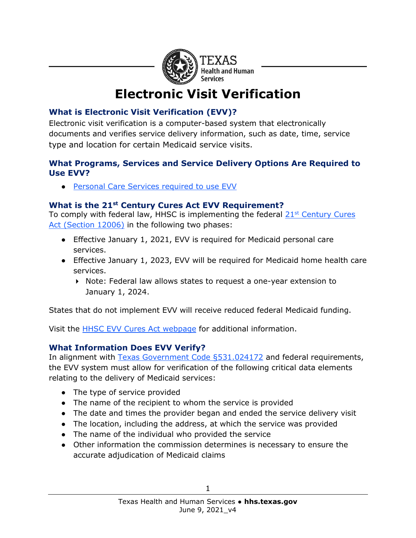

# **Electronic Visit Verification**

# **What is Electronic Visit Verification (EVV)?**

Electronic visit verification is a computer-based system that electronically documents and verifies service delivery information, such as date, time, service type and location for certain Medicaid service visits.

#### **What Programs, Services and Service Delivery Options Are Required to Use EVV?**

● [Personal Care Services required to use EVV](https://www.hhs.texas.gov/sites/default/files/documents/doing-business-with-hhs/providers/long-term-care/evv/programs-services-required-evv.pdf)

### **What is the 21st Century Cures Act EVV Requirement?**

To comply with federal law, HHSC is implementing the federal  $21<sup>st</sup>$  Century Cures [Act \(Section 12006\)](https://www.congress.gov/bill/114th-congress/house-bill/34/text) in the following two phases:

- Effective January 1, 2021, EVV is required for Medicaid personal care services.
- Effective January 1, 2023, EVV will be required for Medicaid home health care services.
	- ▶ Note: Federal law allows states to request a one-year extension to January 1, 2024.

States that do not implement EVV will receive reduced federal Medicaid funding.

Visit the [HHSC EVV Cures Act webpage](https://hhs.texas.gov/doing-business-hhs/provider-portals/long-term-care-providers/resources/electronic-visit-verification/21st-century-cures-act) for additional information.

### **What Information Does EVV Verify?**

In alignment with [Texas Government Code §531.024172](https://texas.public.law/statutes/tex._gov) and federal requirements, the EVV system must allow for verification of the following critical data elements relating to the delivery of Medicaid services:

- The type of service provided
- The name of the recipient to whom the service is provided
- The date and times the provider began and ended the service delivery visit
- The location, including the address, at which the service was provided
- The name of the individual who provided the service
- Other information the commission determines is necessary to ensure the accurate adjudication of Medicaid claims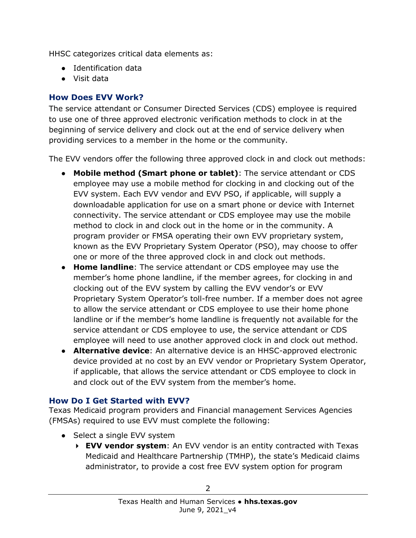HHSC categorizes critical data elements as:

- Identification data
- Visit data

#### **How Does EVV Work?**

The service attendant or Consumer Directed Services (CDS) employee is required to use one of three approved electronic verification methods to clock in at the beginning of service delivery and clock out at the end of service delivery when providing services to a member in the home or the community.

The EVV vendors offer the following three approved clock in and clock out methods:

- **Mobile method (Smart phone or tablet)**: The service attendant or CDS employee may use a mobile method for clocking in and clocking out of the EVV system. Each EVV vendor and EVV PSO, if applicable, will supply a downloadable application for use on a smart phone or device with Internet connectivity. The service attendant or CDS employee may use the mobile method to clock in and clock out in the home or in the community. A program provider or FMSA operating their own EVV proprietary system, known as the EVV Proprietary System Operator (PSO), may choose to offer one or more of the three approved clock in and clock out methods.
- **Home landline**: The service attendant or CDS employee may use the member's home phone landline, if the member agrees, for clocking in and clocking out of the EVV system by calling the EVV vendor's or EVV Proprietary System Operator's toll-free number. If a member does not agree to allow the service attendant or CDS employee to use their home phone landline or if the member's home landline is frequently not available for the service attendant or CDS employee to use, the service attendant or CDS employee will need to use another approved clock in and clock out method.
- **Alternative device**: An alternative device is an HHSC-approved electronic device provided at no cost by an EVV vendor or Proprietary System Operator, if applicable, that allows the service attendant or CDS employee to clock in and clock out of the EVV system from the member's home.

#### **How Do I Get Started with EVV?**

Texas Medicaid program providers and Financial management Services Agencies (FMSAs) required to use EVV must complete the following:

- Select a single EVV system
	- **EVV vendor system**: An EVV vendor is an entity contracted with Texas Medicaid and Healthcare Partnership (TMHP), the state's Medicaid claims administrator, to provide a cost free EVV system option for program